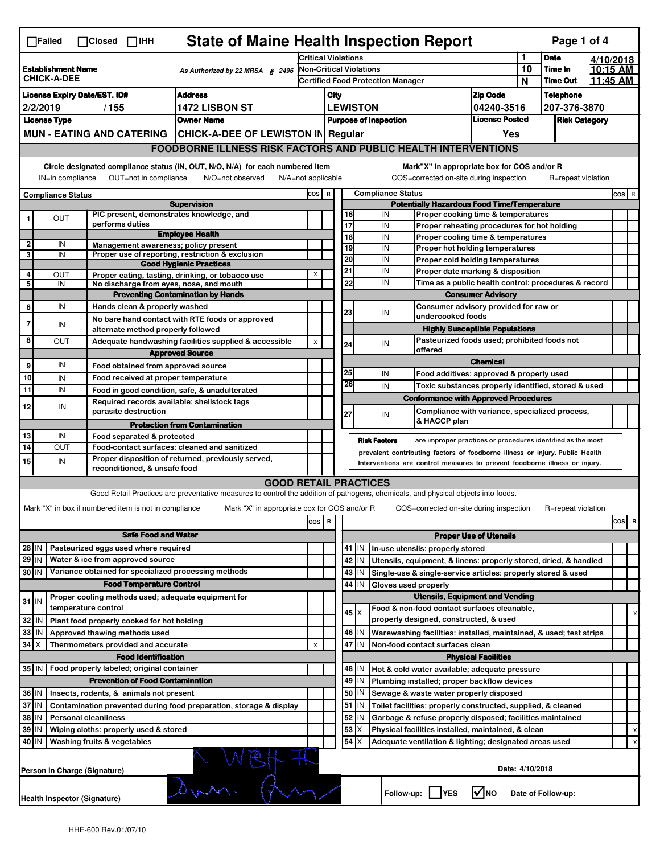| <b>State of Maine Health Inspection Report</b><br>Page 1 of 4<br>$\Box$ Failed<br>$\Box$ Closed $\Box$ IHH                                                                                                                                                                                |                                                                                                         |  |                                                                                                                              |                                                                                                                                   |                                          |                                                                             |                                                                   |                     |                                                                             |                                       |          |                                                             |           |       |   |
|-------------------------------------------------------------------------------------------------------------------------------------------------------------------------------------------------------------------------------------------------------------------------------------------|---------------------------------------------------------------------------------------------------------|--|------------------------------------------------------------------------------------------------------------------------------|-----------------------------------------------------------------------------------------------------------------------------------|------------------------------------------|-----------------------------------------------------------------------------|-------------------------------------------------------------------|---------------------|-----------------------------------------------------------------------------|---------------------------------------|----------|-------------------------------------------------------------|-----------|-------|---|
|                                                                                                                                                                                                                                                                                           |                                                                                                         |  |                                                                                                                              |                                                                                                                                   |                                          | <b>Critical Violations</b>                                                  |                                                                   |                     |                                                                             |                                       |          | <b>Date</b>                                                 | 4/10/2018 |       |   |
| <b>Establishment Name</b><br>As Authorized by 22 MRSA $$$ 2496<br><b>CHICK-A-DEE</b>                                                                                                                                                                                                      |                                                                                                         |  | <b>Non-Critical Violations</b>                                                                                               |                                                                                                                                   |                                          |                                                                             |                                                                   |                     |                                                                             | 10<br>Time In                         | 10:15 AM |                                                             |           |       |   |
|                                                                                                                                                                                                                                                                                           |                                                                                                         |  |                                                                                                                              |                                                                                                                                   | <b>Certified Food Protection Manager</b> |                                                                             |                                                                   |                     |                                                                             |                                       | N        | <b>Time Out</b>                                             | 11:45 AM  |       |   |
| <b>Address</b><br><b>License Expiry Date/EST. ID#</b>                                                                                                                                                                                                                                     |                                                                                                         |  |                                                                                                                              |                                                                                                                                   |                                          | <b>Zip Code</b><br>City                                                     |                                                                   |                     |                                                                             |                                       |          | <b>Telephone</b>                                            |           |       |   |
| 2/2/2019<br>/155<br><b>1472 LISBON ST</b>                                                                                                                                                                                                                                                 |                                                                                                         |  |                                                                                                                              | <b>LEWISTON</b><br>04240-3516<br><b>License Posted</b><br><b>Purpose of Inspection</b>                                            |                                          |                                                                             |                                                                   |                     | 207-376-3870                                                                |                                       |          |                                                             |           |       |   |
| <b>License Type</b><br><b>Owner Name</b>                                                                                                                                                                                                                                                  |                                                                                                         |  |                                                                                                                              |                                                                                                                                   |                                          |                                                                             |                                                                   |                     |                                                                             | <b>Risk Category</b>                  |          |                                                             |           |       |   |
| MUN - EATING AND CATERING   CHICK-A-DEE OF LEWISTON IN Regular                                                                                                                                                                                                                            |                                                                                                         |  |                                                                                                                              |                                                                                                                                   |                                          |                                                                             |                                                                   |                     |                                                                             | Yes                                   |          |                                                             |           |       |   |
|                                                                                                                                                                                                                                                                                           |                                                                                                         |  |                                                                                                                              | <b>FOODBORNE ILLNESS RISK FACTORS AND PUBLIC HEALTH INTERVENTIONS</b>                                                             |                                          |                                                                             |                                                                   |                     |                                                                             |                                       |          |                                                             |           |       |   |
| Circle designated compliance status (IN, OUT, N/O, N/A) for each numbered item<br>Mark"X" in appropriate box for COS and/or R<br>OUT=not in compliance<br>N/O=not observed<br>COS=corrected on-site during inspection<br>R=repeat violation<br>IN=in compliance<br>$N/A = not$ applicable |                                                                                                         |  |                                                                                                                              |                                                                                                                                   |                                          |                                                                             |                                                                   |                     |                                                                             |                                       |          |                                                             |           |       |   |
|                                                                                                                                                                                                                                                                                           | <b>Compliance Status</b>                                                                                |  |                                                                                                                              |                                                                                                                                   |                                          |                                                                             |                                                                   |                     | <b>Compliance Status</b>                                                    |                                       |          |                                                             |           | COS R |   |
| <b>Supervision</b>                                                                                                                                                                                                                                                                        |                                                                                                         |  |                                                                                                                              |                                                                                                                                   |                                          | cos  <br>$\, {\bf R}$<br><b>Potentially Hazardous Food Time/Temperature</b> |                                                                   |                     |                                                                             |                                       |          |                                                             |           |       |   |
|                                                                                                                                                                                                                                                                                           | <b>OUT</b>                                                                                              |  | PIC present, demonstrates knowledge, and                                                                                     |                                                                                                                                   |                                          |                                                                             | 16                                                                |                     | IN<br>Proper cooking time & temperatures                                    |                                       |          |                                                             |           |       |   |
|                                                                                                                                                                                                                                                                                           |                                                                                                         |  | performs duties                                                                                                              | <b>Employee Health</b>                                                                                                            |                                          |                                                                             | 17                                                                |                     | IN<br>Proper reheating procedures for hot holding                           |                                       |          |                                                             |           |       |   |
| $\overline{\mathbf{2}}$                                                                                                                                                                                                                                                                   | IN                                                                                                      |  | Management awareness; policy present                                                                                         |                                                                                                                                   |                                          |                                                                             | 18<br>19                                                          |                     | IN<br>Proper cooling time & temperatures<br>IN                              |                                       |          |                                                             |           |       |   |
| 3                                                                                                                                                                                                                                                                                         | IN                                                                                                      |  |                                                                                                                              | Proper use of reporting, restriction & exclusion                                                                                  |                                          |                                                                             | 20                                                                |                     | Proper hot holding temperatures<br>IN                                       |                                       |          |                                                             |           |       |   |
|                                                                                                                                                                                                                                                                                           |                                                                                                         |  |                                                                                                                              | <b>Good Hygienic Practices</b>                                                                                                    |                                          |                                                                             | $\overline{21}$                                                   |                     | Proper cold holding temperatures<br>IN<br>Proper date marking & disposition |                                       |          |                                                             |           |       |   |
| 4<br>5                                                                                                                                                                                                                                                                                    | OUT<br>IN                                                                                               |  | No discharge from eyes, nose, and mouth                                                                                      | Proper eating, tasting, drinking, or tobacco use                                                                                  | X                                        |                                                                             | 22                                                                |                     | IN                                                                          |                                       |          | Time as a public health control: procedures & record        |           |       |   |
|                                                                                                                                                                                                                                                                                           |                                                                                                         |  |                                                                                                                              | <b>Preventing Contamination by Hands</b>                                                                                          |                                          |                                                                             |                                                                   |                     |                                                                             |                                       |          |                                                             |           |       |   |
| 6                                                                                                                                                                                                                                                                                         | IN                                                                                                      |  | Hands clean & properly washed                                                                                                |                                                                                                                                   |                                          |                                                                             | <b>Consumer Advisory</b><br>Consumer advisory provided for raw or |                     |                                                                             |                                       |          |                                                             |           |       |   |
|                                                                                                                                                                                                                                                                                           |                                                                                                         |  |                                                                                                                              | No bare hand contact with RTE foods or approved                                                                                   |                                          |                                                                             | 23                                                                |                     | IN<br>undercooked foods                                                     |                                       |          |                                                             |           |       |   |
| $\overline{7}$                                                                                                                                                                                                                                                                            | IN                                                                                                      |  | alternate method properly followed                                                                                           |                                                                                                                                   |                                          |                                                                             |                                                                   |                     |                                                                             | <b>Highly Susceptible Populations</b> |          |                                                             |           |       |   |
| 8                                                                                                                                                                                                                                                                                         | OUT                                                                                                     |  |                                                                                                                              | Adequate handwashing facilities supplied & accessible                                                                             | $\pmb{\mathsf{x}}$                       |                                                                             | 24                                                                |                     | Pasteurized foods used; prohibited foods not<br>IN                          |                                       |          |                                                             |           |       |   |
|                                                                                                                                                                                                                                                                                           |                                                                                                         |  |                                                                                                                              | <b>Approved Source</b>                                                                                                            |                                          |                                                                             |                                                                   |                     | offered                                                                     |                                       |          |                                                             |           |       |   |
| 9                                                                                                                                                                                                                                                                                         | IN                                                                                                      |  | Food obtained from approved source                                                                                           |                                                                                                                                   |                                          |                                                                             |                                                                   |                     |                                                                             | <b>Chemical</b>                       |          |                                                             |           |       |   |
| 10                                                                                                                                                                                                                                                                                        | IN                                                                                                      |  | Food received at proper temperature                                                                                          |                                                                                                                                   |                                          |                                                                             | 25                                                                |                     | IN<br>Food additives: approved & properly used                              |                                       |          |                                                             |           |       |   |
| 11                                                                                                                                                                                                                                                                                        | IN                                                                                                      |  |                                                                                                                              | Food in good condition, safe, & unadulterated                                                                                     |                                          |                                                                             | 26                                                                |                     | IN                                                                          |                                       |          | Toxic substances properly identified, stored & used         |           |       |   |
| 12                                                                                                                                                                                                                                                                                        | IN                                                                                                      |  | Required records available: shellstock tags                                                                                  |                                                                                                                                   |                                          |                                                                             |                                                                   |                     | <b>Conformance with Approved Procedures</b>                                 |                                       |          |                                                             |           |       |   |
|                                                                                                                                                                                                                                                                                           |                                                                                                         |  | parasite destruction                                                                                                         |                                                                                                                                   |                                          |                                                                             | 27                                                                |                     | IN                                                                          |                                       |          | Compliance with variance, specialized process,              |           |       |   |
|                                                                                                                                                                                                                                                                                           |                                                                                                         |  |                                                                                                                              | <b>Protection from Contamination</b>                                                                                              |                                          |                                                                             |                                                                   |                     | & HACCP plan                                                                |                                       |          |                                                             |           |       |   |
| 13                                                                                                                                                                                                                                                                                        | IN                                                                                                      |  | Food separated & protected                                                                                                   |                                                                                                                                   |                                          |                                                                             |                                                                   | <b>Risk Factors</b> |                                                                             |                                       |          | are improper practices or procedures identified as the most |           |       |   |
| 14                                                                                                                                                                                                                                                                                        | <b>OUT</b>                                                                                              |  | Food-contact surfaces: cleaned and sanitized<br>prevalent contributing factors of foodborne illness or injury. Public Health |                                                                                                                                   |                                          |                                                                             |                                                                   |                     |                                                                             |                                       |          |                                                             |           |       |   |
| 15                                                                                                                                                                                                                                                                                        | IN                                                                                                      |  | reconditioned, & unsafe food                                                                                                 | Proper disposition of returned, previously served,                                                                                |                                          |                                                                             |                                                                   |                     | Interventions are control measures to prevent foodborne illness or injury.  |                                       |          |                                                             |           |       |   |
|                                                                                                                                                                                                                                                                                           |                                                                                                         |  |                                                                                                                              | <b>GOOD RETAIL PRACTICES</b>                                                                                                      |                                          |                                                                             |                                                                   |                     |                                                                             |                                       |          |                                                             |           |       |   |
|                                                                                                                                                                                                                                                                                           |                                                                                                         |  |                                                                                                                              | Good Retail Practices are preventative measures to control the addition of pathogens, chemicals, and physical objects into foods. |                                          |                                                                             |                                                                   |                     |                                                                             |                                       |          |                                                             |           |       |   |
|                                                                                                                                                                                                                                                                                           |                                                                                                         |  |                                                                                                                              |                                                                                                                                   |                                          |                                                                             |                                                                   |                     |                                                                             |                                       |          | R=repeat violation                                          |           |       |   |
|                                                                                                                                                                                                                                                                                           |                                                                                                         |  | Mark "X" in box if numbered item is not in compliance                                                                        | Mark "X" in appropriate box for COS and/or R                                                                                      |                                          |                                                                             |                                                                   |                     | COS=corrected on-site during inspection                                     |                                       |          |                                                             |           |       |   |
|                                                                                                                                                                                                                                                                                           |                                                                                                         |  |                                                                                                                              |                                                                                                                                   | cos                                      | R                                                                           |                                                                   |                     |                                                                             |                                       |          |                                                             |           | cos   | R |
|                                                                                                                                                                                                                                                                                           | <b>Safe Food and Water</b>                                                                              |  |                                                                                                                              |                                                                                                                                   |                                          |                                                                             | <b>Proper Use of Utensils</b>                                     |                     |                                                                             |                                       |          |                                                             |           |       |   |
|                                                                                                                                                                                                                                                                                           | Pasteurized eggs used where required<br>28 IN                                                           |  |                                                                                                                              |                                                                                                                                   |                                          |                                                                             |                                                                   | 41   IN             | In-use utensils: properly stored                                            |                                       |          |                                                             |           |       |   |
| $29$ IN                                                                                                                                                                                                                                                                                   |                                                                                                         |  | Water & ice from approved source                                                                                             |                                                                                                                                   |                                          |                                                                             |                                                                   | 42 IN               | Utensils, equipment, & linens: properly stored, dried, & handled            |                                       |          |                                                             |           |       |   |
| 30 IN                                                                                                                                                                                                                                                                                     |                                                                                                         |  | Variance obtained for specialized processing methods                                                                         |                                                                                                                                   |                                          |                                                                             |                                                                   | $43$ IN             | Single-use & single-service articles: properly stored & used                |                                       |          |                                                             |           |       |   |
|                                                                                                                                                                                                                                                                                           | <b>Food Temperature Control</b>                                                                         |  |                                                                                                                              |                                                                                                                                   |                                          |                                                                             |                                                                   | 44<br>IN            | Gloves used properly                                                        |                                       |          |                                                             |           |       |   |
| $31$ IN                                                                                                                                                                                                                                                                                   |                                                                                                         |  | Proper cooling methods used; adequate equipment for                                                                          |                                                                                                                                   |                                          |                                                                             |                                                                   |                     | <b>Utensils, Equipment and Vending</b>                                      |                                       |          |                                                             |           |       |   |
|                                                                                                                                                                                                                                                                                           |                                                                                                         |  | temperature control                                                                                                          |                                                                                                                                   |                                          |                                                                             |                                                                   | $45 \times$         | Food & non-food contact surfaces cleanable.                                 |                                       |          |                                                             |           |       | х |
| 32                                                                                                                                                                                                                                                                                        | IN                                                                                                      |  | Plant food properly cooked for hot holding                                                                                   |                                                                                                                                   |                                          |                                                                             |                                                                   |                     | properly designed, constructed, & used                                      |                                       |          |                                                             |           |       |   |
| 33                                                                                                                                                                                                                                                                                        | IN                                                                                                      |  | Approved thawing methods used                                                                                                |                                                                                                                                   |                                          |                                                                             |                                                                   | 46   IN             | Warewashing facilities: installed, maintained, & used; test strips          |                                       |          |                                                             |           |       |   |
| 34                                                                                                                                                                                                                                                                                        | ΙX                                                                                                      |  | Thermometers provided and accurate                                                                                           |                                                                                                                                   | X                                        |                                                                             | 47 IN<br>Non-food contact surfaces clean                          |                     |                                                                             |                                       |          |                                                             |           |       |   |
|                                                                                                                                                                                                                                                                                           |                                                                                                         |  | <b>Food Identification</b>                                                                                                   |                                                                                                                                   |                                          |                                                                             |                                                                   |                     |                                                                             | <b>Physical Facilities</b>            |          |                                                             |           |       |   |
| 35 IN   Food properly labeled; original container<br>48   IN<br>Hot & cold water available; adequate pressure                                                                                                                                                                             |                                                                                                         |  |                                                                                                                              |                                                                                                                                   |                                          |                                                                             |                                                                   |                     |                                                                             |                                       |          |                                                             |           |       |   |
| 49<br><b>Prevention of Food Contamination</b><br>IN                                                                                                                                                                                                                                       |                                                                                                         |  |                                                                                                                              |                                                                                                                                   |                                          |                                                                             | Plumbing installed; proper backflow devices                       |                     |                                                                             |                                       |          |                                                             |           |       |   |
| 36 IN<br>50<br>Insects, rodents, & animals not present<br>IN<br>Sewage & waste water properly disposed                                                                                                                                                                                    |                                                                                                         |  |                                                                                                                              |                                                                                                                                   |                                          |                                                                             |                                                                   |                     |                                                                             |                                       |          |                                                             |           |       |   |
| 37<br>ΙM<br>Contamination prevented during food preparation, storage & display<br><b>Personal cleanliness</b>                                                                                                                                                                             |                                                                                                         |  |                                                                                                                              |                                                                                                                                   |                                          |                                                                             | 51                                                                | IN                  | Toilet facilities: properly constructed, supplied, & cleaned                |                                       |          |                                                             |           |       |   |
| 38                                                                                                                                                                                                                                                                                        | IN                                                                                                      |  |                                                                                                                              |                                                                                                                                   |                                          |                                                                             | 52                                                                | IN                  | Garbage & refuse properly disposed; facilities maintained                   |                                       |          |                                                             |           |       |   |
| 39                                                                                                                                                                                                                                                                                        | IN                                                                                                      |  | Wiping cloths: properly used & stored                                                                                        |                                                                                                                                   |                                          |                                                                             | 53                                                                | ΙX                  | Physical facilities installed, maintained, & clean                          |                                       |          |                                                             |           |       |   |
| 54<br>40 IN<br>Washing fruits & vegetables<br>ΙX<br>Adequate ventilation & lighting; designated areas used                                                                                                                                                                                |                                                                                                         |  |                                                                                                                              |                                                                                                                                   |                                          |                                                                             |                                                                   |                     |                                                                             |                                       |          |                                                             |           |       |   |
| Date: 4/10/2018<br>Person in Charge (Signature)                                                                                                                                                                                                                                           |                                                                                                         |  |                                                                                                                              |                                                                                                                                   |                                          |                                                                             |                                                                   |                     |                                                                             |                                       |          |                                                             |           |       |   |
|                                                                                                                                                                                                                                                                                           | Follow-up:  <br><b>YES</b><br><b>V</b> INO<br>Date of Follow-up:<br><b>Health Inspector (Signature)</b> |  |                                                                                                                              |                                                                                                                                   |                                          |                                                                             |                                                                   |                     |                                                                             |                                       |          |                                                             |           |       |   |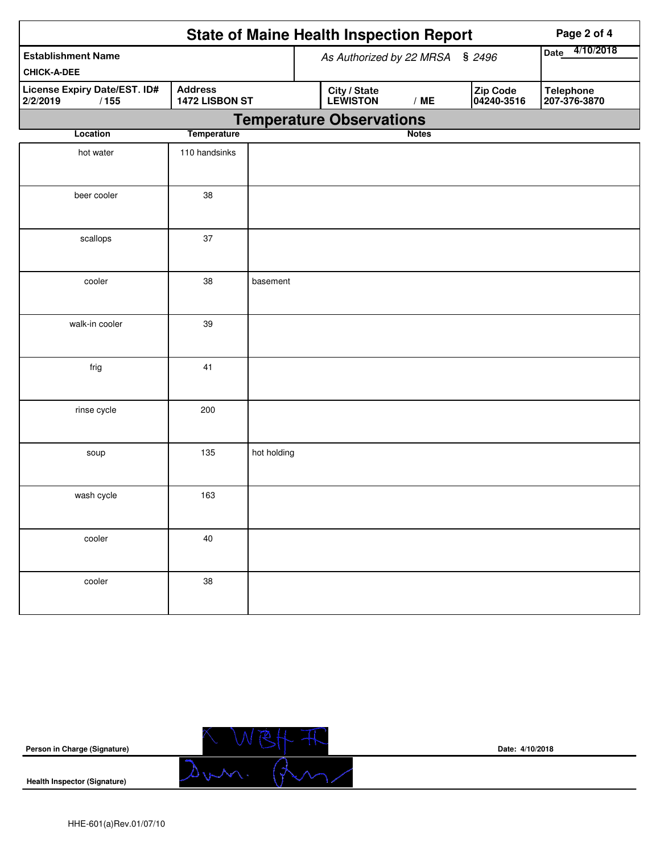|                                                  |                                  |             | <b>State of Maine Health Inspection Report</b> | Page 2 of 4  |                        |                                  |
|--------------------------------------------------|----------------------------------|-------------|------------------------------------------------|--------------|------------------------|----------------------------------|
| <b>Establishment Name</b><br><b>CHICK-A-DEE</b>  |                                  |             | As Authorized by 22 MRSA § 2496                |              |                        | 4/10/2018<br><b>Date</b>         |
| License Expiry Date/EST. ID#<br>2/2/2019<br>/155 | <b>Address</b><br>1472 LISBON ST |             | City / State<br>LEWISTON                       | /ME          | Zip Code<br>04240-3516 | <b>Telephone</b><br>207-376-3870 |
|                                                  |                                  |             | <b>Temperature Observations</b>                |              |                        |                                  |
| Location                                         | <b>Temperature</b>               |             |                                                | <b>Notes</b> |                        |                                  |
| hot water                                        | 110 handsinks                    |             |                                                |              |                        |                                  |
| beer cooler                                      | 38                               |             |                                                |              |                        |                                  |
| scallops                                         | 37                               |             |                                                |              |                        |                                  |
| cooler                                           | 38                               | basement    |                                                |              |                        |                                  |
| walk-in cooler                                   | 39                               |             |                                                |              |                        |                                  |
| frig                                             | 41                               |             |                                                |              |                        |                                  |
| rinse cycle                                      | 200                              |             |                                                |              |                        |                                  |
| soup                                             | 135                              | hot holding |                                                |              |                        |                                  |
| wash cycle                                       | 163                              |             |                                                |              |                        |                                  |
| cooler                                           | 40                               |             |                                                |              |                        |                                  |
| cooler                                           | 38                               |             |                                                |              |                        |                                  |

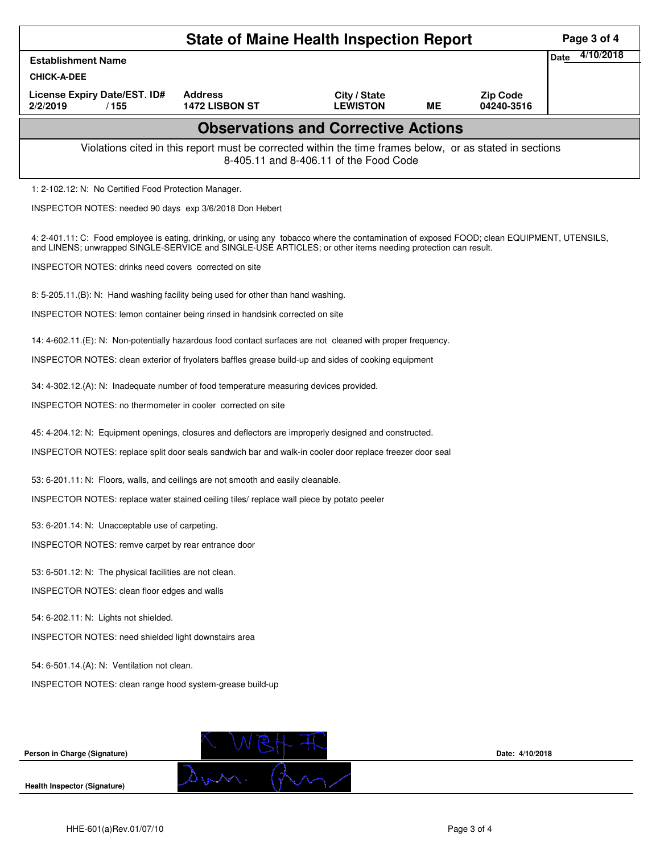|                                                                                                                                                                                                                                                            | Page 3 of 4                                                                                          |                                 |           |                               |                          |  |  |  |  |
|------------------------------------------------------------------------------------------------------------------------------------------------------------------------------------------------------------------------------------------------------------|------------------------------------------------------------------------------------------------------|---------------------------------|-----------|-------------------------------|--------------------------|--|--|--|--|
| <b>Establishment Name</b>                                                                                                                                                                                                                                  |                                                                                                      |                                 |           |                               | 4/10/2018<br><b>Date</b> |  |  |  |  |
| <b>CHICK-A-DEE</b>                                                                                                                                                                                                                                         | <b>Address</b>                                                                                       |                                 |           |                               |                          |  |  |  |  |
| License Expiry Date/EST. ID#<br>2/2/2019<br>/155                                                                                                                                                                                                           | <b>1472 LISBON ST</b>                                                                                | City / State<br><b>LEWISTON</b> | <b>ME</b> | <b>Zip Code</b><br>04240-3516 |                          |  |  |  |  |
| <b>Observations and Corrective Actions</b>                                                                                                                                                                                                                 |                                                                                                      |                                 |           |                               |                          |  |  |  |  |
| Violations cited in this report must be corrected within the time frames below, or as stated in sections<br>8-405.11 and 8-406.11 of the Food Code                                                                                                         |                                                                                                      |                                 |           |                               |                          |  |  |  |  |
| 1: 2-102.12: N: No Certified Food Protection Manager.                                                                                                                                                                                                      |                                                                                                      |                                 |           |                               |                          |  |  |  |  |
| INSPECTOR NOTES: needed 90 days exp 3/6/2018 Don Hebert                                                                                                                                                                                                    |                                                                                                      |                                 |           |                               |                          |  |  |  |  |
| 4: 2-401.11: C: Food employee is eating, drinking, or using any tobacco where the contamination of exposed FOOD; clean EQUIPMENT, UTENSILS,<br>and LINENS; unwrapped SINGLE-SERVICE and SINGLE-USE ARTICLES; or other items needing protection can result. |                                                                                                      |                                 |           |                               |                          |  |  |  |  |
| INSPECTOR NOTES: drinks need covers corrected on site                                                                                                                                                                                                      |                                                                                                      |                                 |           |                               |                          |  |  |  |  |
| 8: 5-205.11.(B): N: Hand washing facility being used for other than hand washing.                                                                                                                                                                          |                                                                                                      |                                 |           |                               |                          |  |  |  |  |
| INSPECTOR NOTES: lemon container being rinsed in handsink corrected on site                                                                                                                                                                                |                                                                                                      |                                 |           |                               |                          |  |  |  |  |
| 14: 4-602.11.(E): N: Non-potentially hazardous food contact surfaces are not cleaned with proper frequency.                                                                                                                                                |                                                                                                      |                                 |           |                               |                          |  |  |  |  |
|                                                                                                                                                                                                                                                            | INSPECTOR NOTES: clean exterior of fryolaters baffles grease build-up and sides of cooking equipment |                                 |           |                               |                          |  |  |  |  |
| 34: 4-302.12.(A): N: Inadequate number of food temperature measuring devices provided.                                                                                                                                                                     |                                                                                                      |                                 |           |                               |                          |  |  |  |  |
| INSPECTOR NOTES: no thermometer in cooler corrected on site                                                                                                                                                                                                |                                                                                                      |                                 |           |                               |                          |  |  |  |  |
| 45: 4-204.12: N: Equipment openings, closures and deflectors are improperly designed and constructed.                                                                                                                                                      |                                                                                                      |                                 |           |                               |                          |  |  |  |  |
| INSPECTOR NOTES: replace split door seals sandwich bar and walk-in cooler door replace freezer door seal                                                                                                                                                   |                                                                                                      |                                 |           |                               |                          |  |  |  |  |
| 53: 6-201.11: N: Floors, walls, and ceilings are not smooth and easily cleanable.                                                                                                                                                                          |                                                                                                      |                                 |           |                               |                          |  |  |  |  |
| INSPECTOR NOTES: replace water stained ceiling tiles/ replace wall piece by potato peeler                                                                                                                                                                  |                                                                                                      |                                 |           |                               |                          |  |  |  |  |
| 53: 6-201.14: N: Unacceptable use of carpeting.                                                                                                                                                                                                            |                                                                                                      |                                 |           |                               |                          |  |  |  |  |
| INSPECTOR NOTES: remve carpet by rear entrance door                                                                                                                                                                                                        |                                                                                                      |                                 |           |                               |                          |  |  |  |  |
|                                                                                                                                                                                                                                                            | 53: 6-501.12: N: The physical facilities are not clean.                                              |                                 |           |                               |                          |  |  |  |  |
| INSPECTOR NOTES: clean floor edges and walls                                                                                                                                                                                                               |                                                                                                      |                                 |           |                               |                          |  |  |  |  |
| 54: 6-202.11: N: Lights not shielded.                                                                                                                                                                                                                      |                                                                                                      |                                 |           |                               |                          |  |  |  |  |
| INSPECTOR NOTES: need shielded light downstairs area                                                                                                                                                                                                       |                                                                                                      |                                 |           |                               |                          |  |  |  |  |
| 54: 6-501.14.(A): N: Ventilation not clean.                                                                                                                                                                                                                |                                                                                                      |                                 |           |                               |                          |  |  |  |  |
| INSPECTOR NOTES: clean range hood system-grease build-up                                                                                                                                                                                                   |                                                                                                      |                                 |           |                               |                          |  |  |  |  |
|                                                                                                                                                                                                                                                            |                                                                                                      |                                 |           |                               |                          |  |  |  |  |
|                                                                                                                                                                                                                                                            |                                                                                                      |                                 |           |                               |                          |  |  |  |  |
| Person in Charge (Signature)                                                                                                                                                                                                                               |                                                                                                      |                                 |           | Date: 4/10/2018               |                          |  |  |  |  |
| <b>Health Inspector (Signature)</b>                                                                                                                                                                                                                        |                                                                                                      |                                 |           |                               |                          |  |  |  |  |